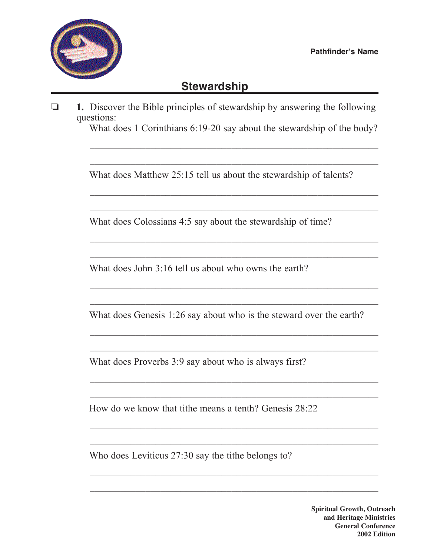

## **Stewardship**

o **1.** Discover the Bible principles of stewardship by answering the following questions:

 $\overline{\phantom{a}}$  ,  $\overline{\phantom{a}}$  ,  $\overline{\phantom{a}}$  ,  $\overline{\phantom{a}}$  ,  $\overline{\phantom{a}}$  ,  $\overline{\phantom{a}}$  ,  $\overline{\phantom{a}}$  ,  $\overline{\phantom{a}}$  ,  $\overline{\phantom{a}}$  ,  $\overline{\phantom{a}}$  ,  $\overline{\phantom{a}}$  ,  $\overline{\phantom{a}}$  ,  $\overline{\phantom{a}}$  ,  $\overline{\phantom{a}}$  ,  $\overline{\phantom{a}}$  ,  $\overline{\phantom{a}}$ 

 $\overline{\phantom{a}}$  ,  $\overline{\phantom{a}}$  ,  $\overline{\phantom{a}}$  ,  $\overline{\phantom{a}}$  ,  $\overline{\phantom{a}}$  ,  $\overline{\phantom{a}}$  ,  $\overline{\phantom{a}}$  ,  $\overline{\phantom{a}}$  ,  $\overline{\phantom{a}}$  ,  $\overline{\phantom{a}}$  ,  $\overline{\phantom{a}}$  ,  $\overline{\phantom{a}}$  ,  $\overline{\phantom{a}}$  ,  $\overline{\phantom{a}}$  ,  $\overline{\phantom{a}}$  ,  $\overline{\phantom{a}}$ 

What does 1 Corinthians 6:19-20 say about the stewardship of the body?

What does Matthew 25:15 tell us about the stewardship of talents?

 $\overline{\phantom{a}}$  ,  $\overline{\phantom{a}}$  ,  $\overline{\phantom{a}}$  ,  $\overline{\phantom{a}}$  ,  $\overline{\phantom{a}}$  ,  $\overline{\phantom{a}}$  ,  $\overline{\phantom{a}}$  ,  $\overline{\phantom{a}}$  ,  $\overline{\phantom{a}}$  ,  $\overline{\phantom{a}}$  ,  $\overline{\phantom{a}}$  ,  $\overline{\phantom{a}}$  ,  $\overline{\phantom{a}}$  ,  $\overline{\phantom{a}}$  ,  $\overline{\phantom{a}}$  ,  $\overline{\phantom{a}}$ 

What does Colossians 4:5 say about the stewardship of time?

 $\overline{\phantom{a}}$  ,  $\overline{\phantom{a}}$  ,  $\overline{\phantom{a}}$  ,  $\overline{\phantom{a}}$  ,  $\overline{\phantom{a}}$  ,  $\overline{\phantom{a}}$  ,  $\overline{\phantom{a}}$  ,  $\overline{\phantom{a}}$  ,  $\overline{\phantom{a}}$  ,  $\overline{\phantom{a}}$  ,  $\overline{\phantom{a}}$  ,  $\overline{\phantom{a}}$  ,  $\overline{\phantom{a}}$  ,  $\overline{\phantom{a}}$  ,  $\overline{\phantom{a}}$  ,  $\overline{\phantom{a}}$ 

 $\overline{\phantom{a}}$  ,  $\overline{\phantom{a}}$  ,  $\overline{\phantom{a}}$  ,  $\overline{\phantom{a}}$  ,  $\overline{\phantom{a}}$  ,  $\overline{\phantom{a}}$  ,  $\overline{\phantom{a}}$  ,  $\overline{\phantom{a}}$  ,  $\overline{\phantom{a}}$  ,  $\overline{\phantom{a}}$  ,  $\overline{\phantom{a}}$  ,  $\overline{\phantom{a}}$  ,  $\overline{\phantom{a}}$  ,  $\overline{\phantom{a}}$  ,  $\overline{\phantom{a}}$  ,  $\overline{\phantom{a}}$ 

 $\overline{\phantom{a}}$  ,  $\overline{\phantom{a}}$  ,  $\overline{\phantom{a}}$  ,  $\overline{\phantom{a}}$  ,  $\overline{\phantom{a}}$  ,  $\overline{\phantom{a}}$  ,  $\overline{\phantom{a}}$  ,  $\overline{\phantom{a}}$  ,  $\overline{\phantom{a}}$  ,  $\overline{\phantom{a}}$  ,  $\overline{\phantom{a}}$  ,  $\overline{\phantom{a}}$  ,  $\overline{\phantom{a}}$  ,  $\overline{\phantom{a}}$  ,  $\overline{\phantom{a}}$  ,  $\overline{\phantom{a}}$ 

 $\overline{\phantom{a}}$  ,  $\overline{\phantom{a}}$  ,  $\overline{\phantom{a}}$  ,  $\overline{\phantom{a}}$  ,  $\overline{\phantom{a}}$  ,  $\overline{\phantom{a}}$  ,  $\overline{\phantom{a}}$  ,  $\overline{\phantom{a}}$  ,  $\overline{\phantom{a}}$  ,  $\overline{\phantom{a}}$  ,  $\overline{\phantom{a}}$  ,  $\overline{\phantom{a}}$  ,  $\overline{\phantom{a}}$  ,  $\overline{\phantom{a}}$  ,  $\overline{\phantom{a}}$  ,  $\overline{\phantom{a}}$ 

 $\overline{\phantom{a}}$  ,  $\overline{\phantom{a}}$  ,  $\overline{\phantom{a}}$  ,  $\overline{\phantom{a}}$  ,  $\overline{\phantom{a}}$  ,  $\overline{\phantom{a}}$  ,  $\overline{\phantom{a}}$  ,  $\overline{\phantom{a}}$  ,  $\overline{\phantom{a}}$  ,  $\overline{\phantom{a}}$  ,  $\overline{\phantom{a}}$  ,  $\overline{\phantom{a}}$  ,  $\overline{\phantom{a}}$  ,  $\overline{\phantom{a}}$  ,  $\overline{\phantom{a}}$  ,  $\overline{\phantom{a}}$ 

 $\overline{\phantom{a}}$  ,  $\overline{\phantom{a}}$  ,  $\overline{\phantom{a}}$  ,  $\overline{\phantom{a}}$  ,  $\overline{\phantom{a}}$  ,  $\overline{\phantom{a}}$  ,  $\overline{\phantom{a}}$  ,  $\overline{\phantom{a}}$  ,  $\overline{\phantom{a}}$  ,  $\overline{\phantom{a}}$  ,  $\overline{\phantom{a}}$  ,  $\overline{\phantom{a}}$  ,  $\overline{\phantom{a}}$  ,  $\overline{\phantom{a}}$  ,  $\overline{\phantom{a}}$  ,  $\overline{\phantom{a}}$ 

 $\overline{\phantom{a}}$  ,  $\overline{\phantom{a}}$  ,  $\overline{\phantom{a}}$  ,  $\overline{\phantom{a}}$  ,  $\overline{\phantom{a}}$  ,  $\overline{\phantom{a}}$  ,  $\overline{\phantom{a}}$  ,  $\overline{\phantom{a}}$  ,  $\overline{\phantom{a}}$  ,  $\overline{\phantom{a}}$  ,  $\overline{\phantom{a}}$  ,  $\overline{\phantom{a}}$  ,  $\overline{\phantom{a}}$  ,  $\overline{\phantom{a}}$  ,  $\overline{\phantom{a}}$  ,  $\overline{\phantom{a}}$ 

 $\overline{\phantom{a}}$  ,  $\overline{\phantom{a}}$  ,  $\overline{\phantom{a}}$  ,  $\overline{\phantom{a}}$  ,  $\overline{\phantom{a}}$  ,  $\overline{\phantom{a}}$  ,  $\overline{\phantom{a}}$  ,  $\overline{\phantom{a}}$  ,  $\overline{\phantom{a}}$  ,  $\overline{\phantom{a}}$  ,  $\overline{\phantom{a}}$  ,  $\overline{\phantom{a}}$  ,  $\overline{\phantom{a}}$  ,  $\overline{\phantom{a}}$  ,  $\overline{\phantom{a}}$  ,  $\overline{\phantom{a}}$ 

 $\overline{\phantom{a}}$  ,  $\overline{\phantom{a}}$  ,  $\overline{\phantom{a}}$  ,  $\overline{\phantom{a}}$  ,  $\overline{\phantom{a}}$  ,  $\overline{\phantom{a}}$  ,  $\overline{\phantom{a}}$  ,  $\overline{\phantom{a}}$  ,  $\overline{\phantom{a}}$  ,  $\overline{\phantom{a}}$  ,  $\overline{\phantom{a}}$  ,  $\overline{\phantom{a}}$  ,  $\overline{\phantom{a}}$  ,  $\overline{\phantom{a}}$  ,  $\overline{\phantom{a}}$  ,  $\overline{\phantom{a}}$ 

 $\overline{\phantom{a}}$  ,  $\overline{\phantom{a}}$  ,  $\overline{\phantom{a}}$  ,  $\overline{\phantom{a}}$  ,  $\overline{\phantom{a}}$  ,  $\overline{\phantom{a}}$  ,  $\overline{\phantom{a}}$  ,  $\overline{\phantom{a}}$  ,  $\overline{\phantom{a}}$  ,  $\overline{\phantom{a}}$  ,  $\overline{\phantom{a}}$  ,  $\overline{\phantom{a}}$  ,  $\overline{\phantom{a}}$  ,  $\overline{\phantom{a}}$  ,  $\overline{\phantom{a}}$  ,  $\overline{\phantom{a}}$ 

 $\overline{\phantom{a}}$  ,  $\overline{\phantom{a}}$  ,  $\overline{\phantom{a}}$  ,  $\overline{\phantom{a}}$  ,  $\overline{\phantom{a}}$  ,  $\overline{\phantom{a}}$  ,  $\overline{\phantom{a}}$  ,  $\overline{\phantom{a}}$  ,  $\overline{\phantom{a}}$  ,  $\overline{\phantom{a}}$  ,  $\overline{\phantom{a}}$  ,  $\overline{\phantom{a}}$  ,  $\overline{\phantom{a}}$  ,  $\overline{\phantom{a}}$  ,  $\overline{\phantom{a}}$  ,  $\overline{\phantom{a}}$ 

 $\overline{\phantom{a}}$  ,  $\overline{\phantom{a}}$  ,  $\overline{\phantom{a}}$  ,  $\overline{\phantom{a}}$  ,  $\overline{\phantom{a}}$  ,  $\overline{\phantom{a}}$  ,  $\overline{\phantom{a}}$  ,  $\overline{\phantom{a}}$  ,  $\overline{\phantom{a}}$  ,  $\overline{\phantom{a}}$  ,  $\overline{\phantom{a}}$  ,  $\overline{\phantom{a}}$  ,  $\overline{\phantom{a}}$  ,  $\overline{\phantom{a}}$  ,  $\overline{\phantom{a}}$  ,  $\overline{\phantom{a}}$ 

 $\overline{\phantom{a}}$  ,  $\overline{\phantom{a}}$  ,  $\overline{\phantom{a}}$  ,  $\overline{\phantom{a}}$  ,  $\overline{\phantom{a}}$  ,  $\overline{\phantom{a}}$  ,  $\overline{\phantom{a}}$  ,  $\overline{\phantom{a}}$  ,  $\overline{\phantom{a}}$  ,  $\overline{\phantom{a}}$  ,  $\overline{\phantom{a}}$  ,  $\overline{\phantom{a}}$  ,  $\overline{\phantom{a}}$  ,  $\overline{\phantom{a}}$  ,  $\overline{\phantom{a}}$  ,  $\overline{\phantom{a}}$ 

What does John 3:16 tell us about who owns the earth?

What does Genesis 1:26 say about who is the steward over the earth?

What does Proverbs 3:9 say about who is always first?

How do we know that tithe means a tenth? Genesis 28:22

Who does Leviticus 27:30 say the tithe belongs to?

**Spiritual Growth, Outreach and Heritage Ministries General Conference 2002 Edition**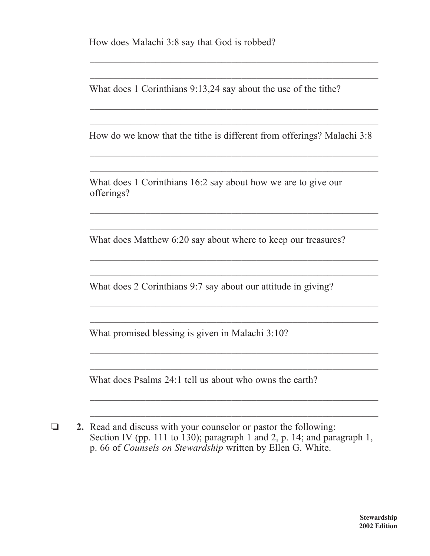How does Malachi 3:8 say that God is robbed?

What does 1 Corinthians 9:13,24 say about the use of the tithe?

 $\overline{\phantom{a}}$  ,  $\overline{\phantom{a}}$  ,  $\overline{\phantom{a}}$  ,  $\overline{\phantom{a}}$  ,  $\overline{\phantom{a}}$  ,  $\overline{\phantom{a}}$  ,  $\overline{\phantom{a}}$  ,  $\overline{\phantom{a}}$  ,  $\overline{\phantom{a}}$  ,  $\overline{\phantom{a}}$  ,  $\overline{\phantom{a}}$  ,  $\overline{\phantom{a}}$  ,  $\overline{\phantom{a}}$  ,  $\overline{\phantom{a}}$  ,  $\overline{\phantom{a}}$  ,  $\overline{\phantom{a}}$ 

 $\overline{\phantom{a}}$  ,  $\overline{\phantom{a}}$  ,  $\overline{\phantom{a}}$  ,  $\overline{\phantom{a}}$  ,  $\overline{\phantom{a}}$  ,  $\overline{\phantom{a}}$  ,  $\overline{\phantom{a}}$  ,  $\overline{\phantom{a}}$  ,  $\overline{\phantom{a}}$  ,  $\overline{\phantom{a}}$  ,  $\overline{\phantom{a}}$  ,  $\overline{\phantom{a}}$  ,  $\overline{\phantom{a}}$  ,  $\overline{\phantom{a}}$  ,  $\overline{\phantom{a}}$  ,  $\overline{\phantom{a}}$ 

 $\overline{\phantom{a}}$  ,  $\overline{\phantom{a}}$  ,  $\overline{\phantom{a}}$  ,  $\overline{\phantom{a}}$  ,  $\overline{\phantom{a}}$  ,  $\overline{\phantom{a}}$  ,  $\overline{\phantom{a}}$  ,  $\overline{\phantom{a}}$  ,  $\overline{\phantom{a}}$  ,  $\overline{\phantom{a}}$  ,  $\overline{\phantom{a}}$  ,  $\overline{\phantom{a}}$  ,  $\overline{\phantom{a}}$  ,  $\overline{\phantom{a}}$  ,  $\overline{\phantom{a}}$  ,  $\overline{\phantom{a}}$ 

 $\overline{\phantom{a}}$  ,  $\overline{\phantom{a}}$  ,  $\overline{\phantom{a}}$  ,  $\overline{\phantom{a}}$  ,  $\overline{\phantom{a}}$  ,  $\overline{\phantom{a}}$  ,  $\overline{\phantom{a}}$  ,  $\overline{\phantom{a}}$  ,  $\overline{\phantom{a}}$  ,  $\overline{\phantom{a}}$  ,  $\overline{\phantom{a}}$  ,  $\overline{\phantom{a}}$  ,  $\overline{\phantom{a}}$  ,  $\overline{\phantom{a}}$  ,  $\overline{\phantom{a}}$  ,  $\overline{\phantom{a}}$ 

 $\overline{\phantom{a}}$  ,  $\overline{\phantom{a}}$  ,  $\overline{\phantom{a}}$  ,  $\overline{\phantom{a}}$  ,  $\overline{\phantom{a}}$  ,  $\overline{\phantom{a}}$  ,  $\overline{\phantom{a}}$  ,  $\overline{\phantom{a}}$  ,  $\overline{\phantom{a}}$  ,  $\overline{\phantom{a}}$  ,  $\overline{\phantom{a}}$  ,  $\overline{\phantom{a}}$  ,  $\overline{\phantom{a}}$  ,  $\overline{\phantom{a}}$  ,  $\overline{\phantom{a}}$  ,  $\overline{\phantom{a}}$ 

 $\overline{\phantom{a}}$  ,  $\overline{\phantom{a}}$  ,  $\overline{\phantom{a}}$  ,  $\overline{\phantom{a}}$  ,  $\overline{\phantom{a}}$  ,  $\overline{\phantom{a}}$  ,  $\overline{\phantom{a}}$  ,  $\overline{\phantom{a}}$  ,  $\overline{\phantom{a}}$  ,  $\overline{\phantom{a}}$  ,  $\overline{\phantom{a}}$  ,  $\overline{\phantom{a}}$  ,  $\overline{\phantom{a}}$  ,  $\overline{\phantom{a}}$  ,  $\overline{\phantom{a}}$  ,  $\overline{\phantom{a}}$ 

How do we know that the tithe is different from offerings? Malachi 3:8

 $\mathcal{L}_\text{max}$  , and the set of the set of the set of the set of the set of the set of the set of the set of the set of the set of the set of the set of the set of the set of the set of the set of the set of the set of the

 $\overline{\phantom{a}}$  , and the contribution of the contribution of the contribution of the contribution of the contribution of the contribution of the contribution of the contribution of the contribution of the contribution of the

What does 1 Corinthians 16:2 say about how we are to give our offerings?

What does Matthew 6:20 say about where to keep our treasures?

 $\overline{\phantom{a}}$  ,  $\overline{\phantom{a}}$  ,  $\overline{\phantom{a}}$  ,  $\overline{\phantom{a}}$  ,  $\overline{\phantom{a}}$  ,  $\overline{\phantom{a}}$  ,  $\overline{\phantom{a}}$  ,  $\overline{\phantom{a}}$  ,  $\overline{\phantom{a}}$  ,  $\overline{\phantom{a}}$  ,  $\overline{\phantom{a}}$  ,  $\overline{\phantom{a}}$  ,  $\overline{\phantom{a}}$  ,  $\overline{\phantom{a}}$  ,  $\overline{\phantom{a}}$  ,  $\overline{\phantom{a}}$ 

 $\overline{\phantom{a}}$  ,  $\overline{\phantom{a}}$  ,  $\overline{\phantom{a}}$  ,  $\overline{\phantom{a}}$  ,  $\overline{\phantom{a}}$  ,  $\overline{\phantom{a}}$  ,  $\overline{\phantom{a}}$  ,  $\overline{\phantom{a}}$  ,  $\overline{\phantom{a}}$  ,  $\overline{\phantom{a}}$  ,  $\overline{\phantom{a}}$  ,  $\overline{\phantom{a}}$  ,  $\overline{\phantom{a}}$  ,  $\overline{\phantom{a}}$  ,  $\overline{\phantom{a}}$  ,  $\overline{\phantom{a}}$ 

 $\overline{\phantom{a}}$  ,  $\overline{\phantom{a}}$  ,  $\overline{\phantom{a}}$  ,  $\overline{\phantom{a}}$  ,  $\overline{\phantom{a}}$  ,  $\overline{\phantom{a}}$  ,  $\overline{\phantom{a}}$  ,  $\overline{\phantom{a}}$  ,  $\overline{\phantom{a}}$  ,  $\overline{\phantom{a}}$  ,  $\overline{\phantom{a}}$  ,  $\overline{\phantom{a}}$  ,  $\overline{\phantom{a}}$  ,  $\overline{\phantom{a}}$  ,  $\overline{\phantom{a}}$  ,  $\overline{\phantom{a}}$ 

What does 2 Corinthians 9:7 say about our attitude in giving?

 $\overline{\phantom{a}}$  ,  $\overline{\phantom{a}}$  ,  $\overline{\phantom{a}}$  ,  $\overline{\phantom{a}}$  ,  $\overline{\phantom{a}}$  ,  $\overline{\phantom{a}}$  ,  $\overline{\phantom{a}}$  ,  $\overline{\phantom{a}}$  ,  $\overline{\phantom{a}}$  ,  $\overline{\phantom{a}}$  ,  $\overline{\phantom{a}}$  ,  $\overline{\phantom{a}}$  ,  $\overline{\phantom{a}}$  ,  $\overline{\phantom{a}}$  ,  $\overline{\phantom{a}}$  ,  $\overline{\phantom{a}}$ 

 $\overline{\phantom{a}}$  ,  $\overline{\phantom{a}}$  ,  $\overline{\phantom{a}}$  ,  $\overline{\phantom{a}}$  ,  $\overline{\phantom{a}}$  ,  $\overline{\phantom{a}}$  ,  $\overline{\phantom{a}}$  ,  $\overline{\phantom{a}}$  ,  $\overline{\phantom{a}}$  ,  $\overline{\phantom{a}}$  ,  $\overline{\phantom{a}}$  ,  $\overline{\phantom{a}}$  ,  $\overline{\phantom{a}}$  ,  $\overline{\phantom{a}}$  ,  $\overline{\phantom{a}}$  ,  $\overline{\phantom{a}}$ 

 $\overline{\phantom{a}}$  ,  $\overline{\phantom{a}}$  ,  $\overline{\phantom{a}}$  ,  $\overline{\phantom{a}}$  ,  $\overline{\phantom{a}}$  ,  $\overline{\phantom{a}}$  ,  $\overline{\phantom{a}}$  ,  $\overline{\phantom{a}}$  ,  $\overline{\phantom{a}}$  ,  $\overline{\phantom{a}}$  ,  $\overline{\phantom{a}}$  ,  $\overline{\phantom{a}}$  ,  $\overline{\phantom{a}}$  ,  $\overline{\phantom{a}}$  ,  $\overline{\phantom{a}}$  ,  $\overline{\phantom{a}}$ 

 $\overline{\phantom{a}}$  ,  $\overline{\phantom{a}}$  ,  $\overline{\phantom{a}}$  ,  $\overline{\phantom{a}}$  ,  $\overline{\phantom{a}}$  ,  $\overline{\phantom{a}}$  ,  $\overline{\phantom{a}}$  ,  $\overline{\phantom{a}}$  ,  $\overline{\phantom{a}}$  ,  $\overline{\phantom{a}}$  ,  $\overline{\phantom{a}}$  ,  $\overline{\phantom{a}}$  ,  $\overline{\phantom{a}}$  ,  $\overline{\phantom{a}}$  ,  $\overline{\phantom{a}}$  ,  $\overline{\phantom{a}}$ 

 $\overline{\phantom{a}}$  ,  $\overline{\phantom{a}}$  ,  $\overline{\phantom{a}}$  ,  $\overline{\phantom{a}}$  ,  $\overline{\phantom{a}}$  ,  $\overline{\phantom{a}}$  ,  $\overline{\phantom{a}}$  ,  $\overline{\phantom{a}}$  ,  $\overline{\phantom{a}}$  ,  $\overline{\phantom{a}}$  ,  $\overline{\phantom{a}}$  ,  $\overline{\phantom{a}}$  ,  $\overline{\phantom{a}}$  ,  $\overline{\phantom{a}}$  ,  $\overline{\phantom{a}}$  ,  $\overline{\phantom{a}}$ 

What promised blessing is given in Malachi 3:10?

What does Psalms 24:1 tell us about who owns the earth?

**2.** Read and discuss with your counselor or pastor the following: Section IV (pp. 111 to 130); paragraph 1 and 2, p. 14; and paragraph 1, p. 66 of *Counsels on Stewardship* written by Ellen G. White.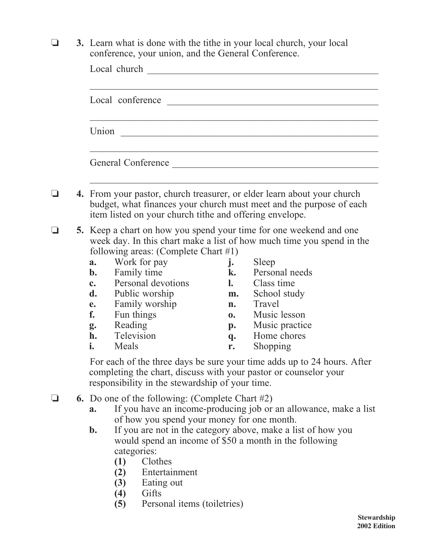**3.** Learn what is done with the tithe in your local church, your local conference, your union, and the General Conference.

|  | Local church                                                                                                                                                                                              |                                                                                                                                                                                                                                                                                                                                                                                                            |                                                                            |                                                                                                                                                                                                                                                                                                                                                                                                                            |  |  |  |
|--|-----------------------------------------------------------------------------------------------------------------------------------------------------------------------------------------------------------|------------------------------------------------------------------------------------------------------------------------------------------------------------------------------------------------------------------------------------------------------------------------------------------------------------------------------------------------------------------------------------------------------------|----------------------------------------------------------------------------|----------------------------------------------------------------------------------------------------------------------------------------------------------------------------------------------------------------------------------------------------------------------------------------------------------------------------------------------------------------------------------------------------------------------------|--|--|--|
|  | Local conference                                                                                                                                                                                          |                                                                                                                                                                                                                                                                                                                                                                                                            |                                                                            |                                                                                                                                                                                                                                                                                                                                                                                                                            |  |  |  |
|  | Union                                                                                                                                                                                                     |                                                                                                                                                                                                                                                                                                                                                                                                            |                                                                            |                                                                                                                                                                                                                                                                                                                                                                                                                            |  |  |  |
|  |                                                                                                                                                                                                           |                                                                                                                                                                                                                                                                                                                                                                                                            |                                                                            |                                                                                                                                                                                                                                                                                                                                                                                                                            |  |  |  |
|  |                                                                                                                                                                                                           |                                                                                                                                                                                                                                                                                                                                                                                                            | General Conference                                                         |                                                                                                                                                                                                                                                                                                                                                                                                                            |  |  |  |
|  |                                                                                                                                                                                                           |                                                                                                                                                                                                                                                                                                                                                                                                            |                                                                            |                                                                                                                                                                                                                                                                                                                                                                                                                            |  |  |  |
|  | 4. From your pastor, church treasurer, or elder learn about your church<br>budget, what finances your church must meet and the purpose of each<br>item listed on your church tithe and offering envelope. |                                                                                                                                                                                                                                                                                                                                                                                                            |                                                                            |                                                                                                                                                                                                                                                                                                                                                                                                                            |  |  |  |
|  | a.<br>$\mathbf{b}$ .<br>$\mathbf{c}$ .<br>d.<br>e.<br>f.<br>Reading<br>g.<br>h.<br>i.<br>Meals                                                                                                            | following areas: (Complete Chart $#1$ )<br>Work for pay<br>Family time<br>Personal devotions<br>Public worship<br>Family worship<br>Fun things<br>Television                                                                                                                                                                                                                                               | j.<br>k.<br>$\mathbf{l}$ .<br>m.<br>n.<br>$\mathbf{0}$ .<br>p.<br>q.<br>r. | 5. Keep a chart on how you spend your time for one weekend and one<br>week day. In this chart make a list of how much time you spend in the<br>Sleep<br>Personal needs<br>Class time<br>School study<br>Travel<br>Music lesson<br>Music practice<br>Home chores<br>Shopping<br>For each of the three days be sure your time adds up to 24 hours. After<br>completing the chart, discuss with your pastor or counselor your |  |  |  |
|  | a.<br>$\mathbf{b}$ .<br>(1)                                                                                                                                                                               | responsibility in the stewardship of your time.<br><b>6.</b> Do one of the following: (Complete Chart $#2$ )<br>If you have an income-producing job or an allowance, make a list<br>of how you spend your money for one month.<br>If you are not in the category above, make a list of how you<br>would spend an income of \$50 a month in the following<br>categories:<br>Clothes<br>Entertainment<br>(2) |                                                                            |                                                                                                                                                                                                                                                                                                                                                                                                                            |  |  |  |

- **(3)** Eating out
- 
- (4) Gifts **(5)** Gifts Personal items (toiletries)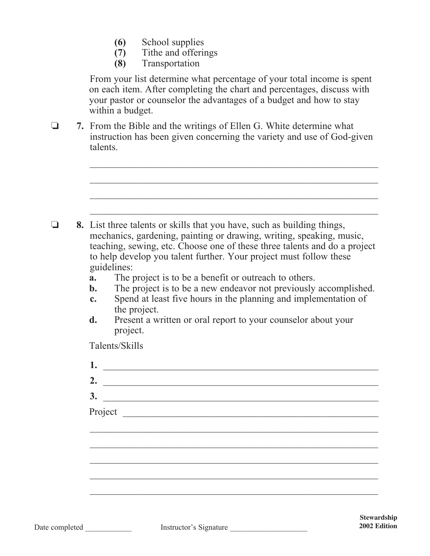- **(6)** School supplies
- **(7)** Tithe and offerings
- **(8)** Transportation

 From your list determine what percentage of your total income is spent on each item. After completing the chart and percentages, discuss with your pastor or counselor the advantages of a budget and how to stay within a budget.

o **7.** From the Bible and the writings of Ellen G. White determine what instruction has been given concerning the variety and use of God-given talents.

 $\mathcal{L}_\text{max} = \frac{1}{2} \sum_{i=1}^{n} \frac{1}{2} \sum_{i=1}^{n} \frac{1}{2} \sum_{i=1}^{n} \frac{1}{2} \sum_{i=1}^{n} \frac{1}{2} \sum_{i=1}^{n} \frac{1}{2} \sum_{i=1}^{n} \frac{1}{2} \sum_{i=1}^{n} \frac{1}{2} \sum_{i=1}^{n} \frac{1}{2} \sum_{i=1}^{n} \frac{1}{2} \sum_{i=1}^{n} \frac{1}{2} \sum_{i=1}^{n} \frac{1}{2} \sum_{i=1}^{n} \frac{1$ 

| a.<br>$\mathbf{c}$ .<br>d. | guidelines:<br>The project is to be a benefit or outreach to others.<br>The project is to be a new endeavor not previously accomplished.<br>b.<br>Spend at least five hours in the planning and implementation of<br>the project.<br>Present a written or oral report to your counselor about your<br>project.<br>Talents/Skills |
|----------------------------|----------------------------------------------------------------------------------------------------------------------------------------------------------------------------------------------------------------------------------------------------------------------------------------------------------------------------------|
|                            |                                                                                                                                                                                                                                                                                                                                  |
|                            |                                                                                                                                                                                                                                                                                                                                  |
|                            |                                                                                                                                                                                                                                                                                                                                  |
|                            |                                                                                                                                                                                                                                                                                                                                  |
|                            |                                                                                                                                                                                                                                                                                                                                  |
|                            |                                                                                                                                                                                                                                                                                                                                  |
|                            | 1.<br><u> 1980 - Johann Stoff, deutscher Stoffen und der Stoffen und der Stoffen und der Stoffen und der Stoffen und der Stoffen und der Stoffen und der Stoffen und der Stoffen und der Stoffen und der Stoffen und der Stoffen und d</u>                                                                                       |
|                            | 2. $\qquad \qquad$                                                                                                                                                                                                                                                                                                               |
|                            | 3.                                                                                                                                                                                                                                                                                                                               |
|                            |                                                                                                                                                                                                                                                                                                                                  |
|                            |                                                                                                                                                                                                                                                                                                                                  |
|                            |                                                                                                                                                                                                                                                                                                                                  |
|                            |                                                                                                                                                                                                                                                                                                                                  |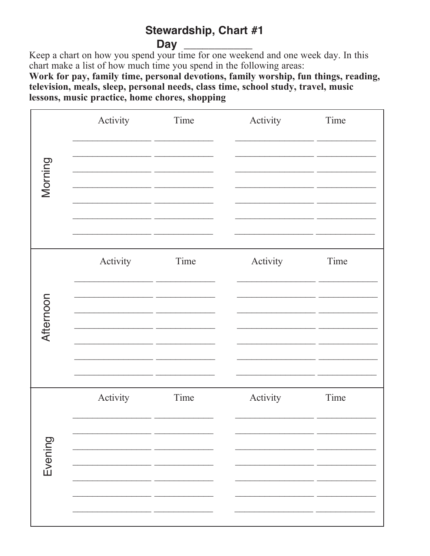## Stewardship, Chart #1 **Day**

Keep a chart on how you spend your time for one weekend and one week day. In this chart make a list of how much time you spend in the following areas:

Work for pay, family time, personal devotions, family worship, fun things, reading, television, meals, sleep, personal needs, class time, school study, travel, music lessons, music practice, home chores, shopping

| Evening  | Afternoon | Morning  |
|----------|-----------|----------|
| Activity | Activity  | Activity |
| Time     | Time      | Time     |
| Activity | Activity  | Activity |
| Time     | Time      | Time     |